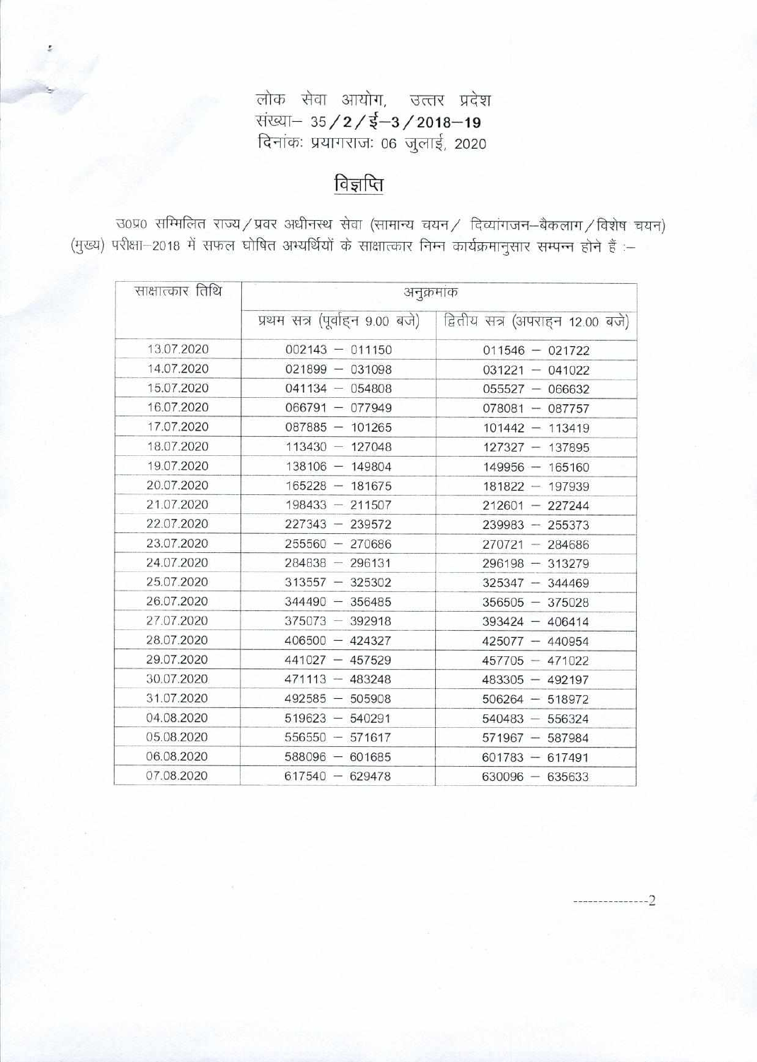लोक सेवा आयोग, उत्तर प्रदेश संख्या-35/2/ई-3/2018-19 दिनांकः प्रयागराजः 06 जुलाई, 2020

## विज्ञप्ति

उ०प्र० सम्मिलित राज्य/प्रवर अधीनस्थ सेवा (सामान्य चयन/ दिव्यांगजन-बैकलाग/विशेष चयन) (मुख्य) परीक्षा-2018 में सफल घोषित अभ्यर्थियों के साक्षात्कार निम्न कार्यक्रमानुसार सम्पन्न होने हैं :-

| साक्षात्कार तिथि | अनुक्रमांक                     |                                 |
|------------------|--------------------------------|---------------------------------|
|                  | प्रथम सत्र (पूर्वाहन 9.00 बजे) | द्वितीय सत्र (अपराहन 12.00 बजे) |
| 13.07.2020       | $002143 - 011150$              | $011546 - 021722$               |
| 14.07.2020       | $021899 - 031098$              | $031221 - 041022$               |
| 15.07.2020       | $041134 - 054808$              | $055527 - 066632$               |
| 16.07.2020       | $066791 - 077949$              | $078081 - 087757$               |
| 17.07.2020       | $087885 - 101265$              | $101442 - 113419$               |
| 18.07.2020       | $113430 - 127048$              | $127327 - 137895$               |
| 19.07.2020       | $138106 - 149804$              | $149956 - 165160$               |
| 20.07.2020       | $165228 - 181675$              | $181822 - 197939$               |
| 21.07.2020       | $198433 - 211507$              | $212601 - 227244$               |
| 22.07.2020       | $227343 - 239572$              | $239983 - 255373$               |
| 23.07.2020       | $255560 - 270686$              | $270721 - 284686$               |
| 24.07.2020       | $284838 - 296131$              | $296198 - 313279$               |
| 25.07.2020       | $313557 - 325302$              | $325347 - 344469$               |
| 26.07.2020       | $344490 - 356485$              | $356505 - 375028$               |
| 27.07.2020       | $375073 - 392918$              | $393424 - 406414$               |
| 28.07.2020       | $406500 - 424327$              | $425077 - 440954$               |
| 29.07.2020       | $441027 - 457529$              | $457705 - 471022$               |
| 30.07.2020       | $471113 - 483248$              | $483305 - 492197$               |
| 31.07.2020       | $492585 - 505908$              | $506264 - 518972$               |
| 04.08.2020       | $519623 - 540291$              | $540483 - 556324$               |
| 05.08.2020       | $556550 - 571617$              | $571967 - 587984$               |
| 06.08.2020       | $588096 - 601685$              | $601783 - 617491$               |
| 07.08.2020       | $617540 - 629478$              | $630096 - 635633$               |

 $-2$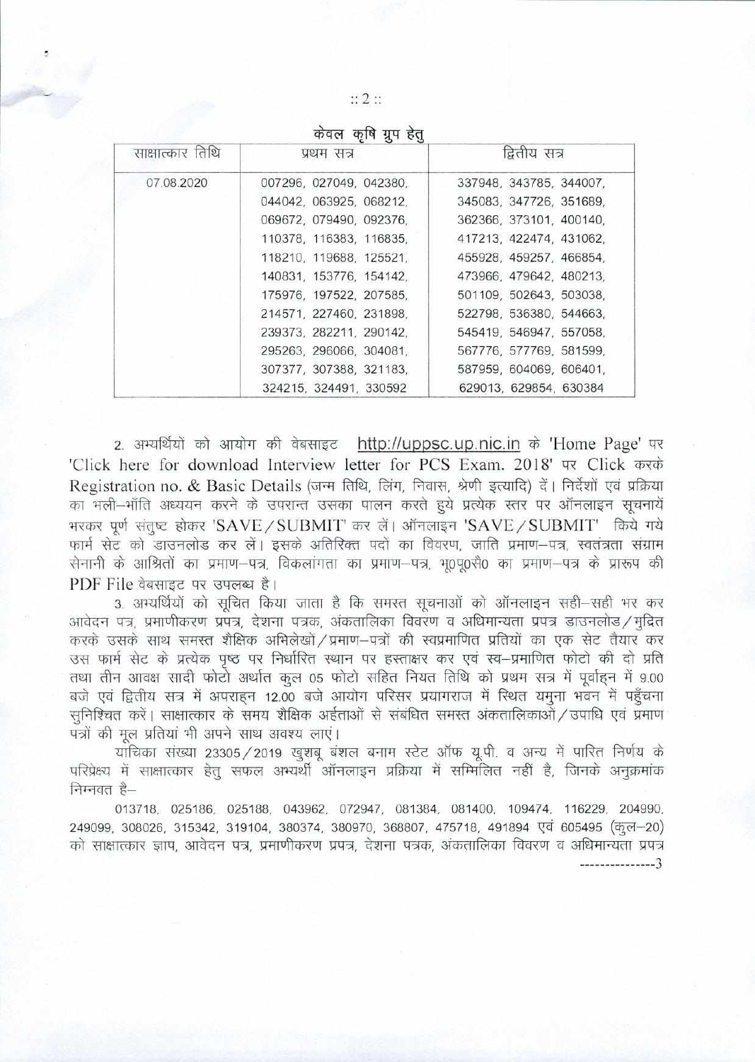$:: 2 ::$ 

| $\mathcal{L}$    |                         |                         |
|------------------|-------------------------|-------------------------|
| साक्षात्कार तिथि | प्रथम सत्र              | द्रितीय सत्र            |
| 07.08.2020       | 007296, 027049, 042380, | 337948, 343785, 344007, |
|                  | 044042, 063925, 068212, | 345083, 347726, 351689, |
|                  | 069672, 079490, 092376, | 362366, 373101, 400140, |
|                  | 110378, 116383, 116835, | 417213, 422474, 431062, |
|                  | 118210, 119688, 125521, | 455928, 459257, 466854, |
|                  | 140831, 153776, 154142, | 473966, 479642, 480213, |
|                  | 175976, 197522, 207585, | 501109, 502643, 503038, |
|                  | 214571, 227460, 231898, | 522798, 536380, 544663, |
|                  | 239373, 282211, 290142, | 545419, 546947, 557058, |
|                  | 295263, 296066, 304081, | 567776, 577769, 581599, |
|                  | 307377, 307388, 321183, | 587959, 604069, 606401, |
|                  | 324215, 324491, 330592  | 629013, 629854, 630384  |

केतन कृषि गए देत

2. अभ्यर्थियों को आयोग की वेबसाइट http://uppsc.up.nic.in के 'Home Page' पर 'Click here for download Interview letter for PCS Exam. 2018' पर Click करके Registration no. & Basic Details (जन्म तिथि, लिंग, निवास, श्रेणी इत्यादि) दें। निर्देशों एवं प्रक्रिया का भली-भाँति अध्ययन करने के उपरान्त उसका पालन करते हुये प्रत्येक स्तर पर ऑनलाइन सूचनायें भरकर पूर्ण संतुष्ट होकर 'SAVE / SUBMIT' कर लें। ऑनलाइन 'SAVE / SUBMIT' किये गये फार्म सेट को डाउनलोड कर लें। इसके अतिरिक्त पदों का विवरण, जाति प्रमाण-पत्र, स्वतंत्रता संग्राम सेनानी के आश्रितों का प्रमाण-पत्र, विकलांगता का प्रमाण-पत्र, भू0पू0सै0 का प्रमाण-पत्र के प्रारूप की PDF File वेबसाइट पर उपलब्ध है।

3. अभ्यर्थियों को सूचित किया जाता है कि समस्त सूचनाओं को ऑनलाइन सही-सही भर कर आवेदन पत्र, प्रमाणीकरण प्रपत्र, देशना पत्रक, अंकतालिका विवरण व अधिमान्यता प्रपत्र डाउनलोड/मुद्रित करके उसके साथ समस्त शैक्षिक अभिलेखों / प्रमाण-पत्रों की स्वप्रमाणित प्रतियों का एक सेट तैयार कर उस फार्म सेट के प्रत्येक पृष्ठ पर निर्धारित स्थान पर हस्ताक्षर कर एवं स्व-प्रमाणित फोटो की दो प्रति तथा तीन आवक्ष सादी फोटो अर्थात कुल 05 फोटो सहित नियत तिथि को प्रथम सत्र में पूर्वाहन में 9.00 बजे एवं द्वितीय सत्र में अपराहन 12.00 बजे आयोग परिसर प्रयागराज में स्थित यमुना भवन में पहुँचना सनिश्चित करें। साक्षात्कार के समय शैक्षिक अर्हताओं से संबंधित समस्त अंकतालिकाओं / उपाधि एवं प्रमाण पत्रों की मूल प्रतियां भी अपने साथ अवश्य लाएं।

याचिका संख्या 23305 / 2019 खुशबू बंशल बनाम स्टेट ऑफ यू.पी. व अन्य में पारित निर्णय के परिप्रेक्ष्य में साक्षात्कार हेतु सफल अभ्यर्थी ऑनलाइन प्रक्रिया में सम्मिलित नहीं है, जिनके अनुक्रमांक निम्नवत है–

013718, 025186, 025188, 043962, 072947, 081384, 081400, 109474, 116229, 204990, 249099, 308026, 315342, 319104, 380374, 380970, 368807, 475718, 491894 एवं 605495 (कूल-20) को साक्षात्कार ज्ञाप, आवेदन पत्र, प्रमाणीकरण प्रपत्र, देशना पत्रक, अंकतालिका विवरण व अधिमान्यता प्रपत्र <u> 1 - - - - - - - - - - - - 3</u>